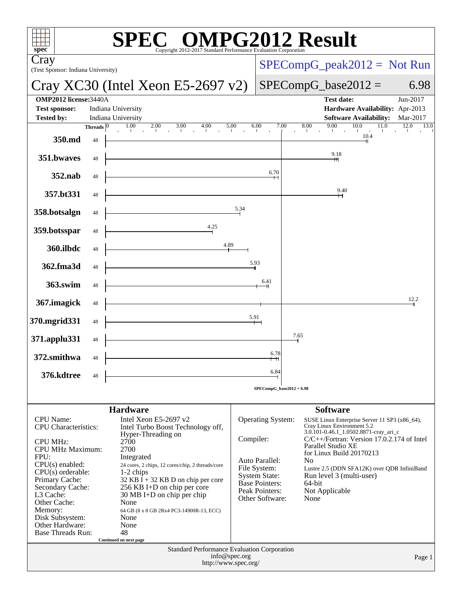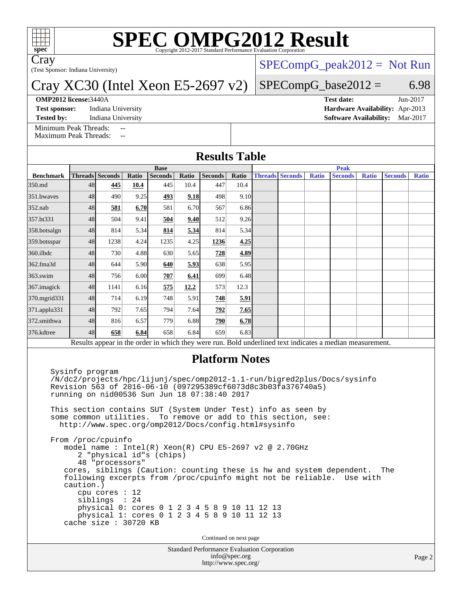

# **[SPEC OMPG2012 Result](http://www.spec.org/auto/omp2012/Docs/result-fields.html#SPECOMPG2012Result)**

Cray

(Test Sponsor: Indiana University)

### Cray XC30 (Intel Xeon E5-2697 v2)

#### **[OMP2012 license:](http://www.spec.org/auto/omp2012/Docs/result-fields.html#OMP2012license)**3440A **[Test date:](http://www.spec.org/auto/omp2012/Docs/result-fields.html#Testdate)** Jun-2017

**[Test sponsor:](http://www.spec.org/auto/omp2012/Docs/result-fields.html#Testsponsor)** Indiana University **[Hardware Availability:](http://www.spec.org/auto/omp2012/Docs/result-fields.html#HardwareAvailability)** Apr-2013

 $SPECompG_peak2012 = Not Run$  $SPECompG_peak2012 = Not Run$ 

#### $SPECompG_base2012 = 6.98$  $SPECompG_base2012 = 6.98$

**[Tested by:](http://www.spec.org/auto/omp2012/Docs/result-fields.html#Testedby)** Indiana University **[Software Availability:](http://www.spec.org/auto/omp2012/Docs/result-fields.html#SoftwareAvailability)** Mar-2017

[Minimum Peak Threads:](http://www.spec.org/auto/omp2012/Docs/result-fields.html#MinimumPeakThreads) [Maximum Peak Threads:](http://www.spec.org/auto/omp2012/Docs/result-fields.html#MaximumPeakThreads)

**[Results Table](http://www.spec.org/auto/omp2012/Docs/result-fields.html#ResultsTable)**

|                  | <b>Base</b> |                 |       |                |       |         |       | <b>Peak</b> |                        |              |                                                                                                          |              |                |              |
|------------------|-------------|-----------------|-------|----------------|-------|---------|-------|-------------|------------------------|--------------|----------------------------------------------------------------------------------------------------------|--------------|----------------|--------------|
| <b>Benchmark</b> |             | Threads Seconds | Ratio | <b>Seconds</b> | Ratio | Seconds | Ratio |             | <b>Threads Seconds</b> | <b>Ratio</b> | <b>Seconds</b>                                                                                           | <b>Ratio</b> | <b>Seconds</b> | <b>Ratio</b> |
| 350.md           | 48          | 445             | 10.4  | 445            | 10.4  | 447     | 10.4  |             |                        |              |                                                                                                          |              |                |              |
| 351.bwayes       | 48          | 490             | 9.25  | 493            | 9.18  | 498     | 9.10  |             |                        |              |                                                                                                          |              |                |              |
| $352$ .nab       | 48          | 581             | 6.70  | 581            | 6.70  | 567     | 6.86  |             |                        |              |                                                                                                          |              |                |              |
| 357.bt331        | 48          | 504             | 9.41  | 504            | 9.40  | 512     | 9.26  |             |                        |              |                                                                                                          |              |                |              |
| 358.botsalgn     | 48          | 814             | 5.34  | 814            | 5.34  | 814     | 5.34  |             |                        |              |                                                                                                          |              |                |              |
| 359.botsspar     | 48          | 1238            | 4.24  | 1235           | 4.25  | 1236    | 4.25  |             |                        |              |                                                                                                          |              |                |              |
| $360$ .ilbdc     | 48          | 730             | 4.88  | 630            | 5.65  | 728     | 4.89  |             |                        |              |                                                                                                          |              |                |              |
| 362.fma3d        | 48          | 644             | 5.90  | 640            | 5.93  | 638     | 5.95  |             |                        |              |                                                                                                          |              |                |              |
| $363$ .swim      | 48          | 756             | 6.00  | 707            | 6.41  | 699     | 6.48  |             |                        |              |                                                                                                          |              |                |              |
| 367.imagick      | 48          | 1141            | 6.16  | 575            | 12.2  | 573     | 12.3  |             |                        |              |                                                                                                          |              |                |              |
| 370.mgrid331     | 48          | 714             | 6.19  | 748            | 5.91  | 748     | 5.91  |             |                        |              |                                                                                                          |              |                |              |
| 371.applu331     | 48          | 792             | 7.65  | 794            | 7.64  | 792     | 7.65  |             |                        |              |                                                                                                          |              |                |              |
| 372.smithwa      | 48          | 816             | 6.57  | 779            | 6.88  | 790     | 6.78  |             |                        |              |                                                                                                          |              |                |              |
| 376.kdtree       | 48          | 658             | 6.84  | 658            | 6.84  | 659     | 6.83  |             |                        |              |                                                                                                          |              |                |              |
|                  |             |                 |       |                |       |         |       |             |                        |              | Results appear in the order in which they were run. Bold underlined text indicates a median measurement. |              |                |              |

#### **[Platform Notes](http://www.spec.org/auto/omp2012/Docs/result-fields.html#PlatformNotes)**

 Sysinfo program /N/dc2/projects/hpc/lijunj/spec/omp2012-1.1-run/bigred2plus/Docs/sysinfo Revision 563 of 2016-06-10 (097295389cf6073d8c3b03fa376740a5) running on nid00536 Sun Jun 18 07:38:40 2017

 This section contains SUT (System Under Test) info as seen by some common utilities. To remove or add to this section, see: <http://www.spec.org/omp2012/Docs/config.html#sysinfo>

 From /proc/cpuinfo model name : Intel(R) Xeon(R) CPU E5-2697 v2 @ 2.70GHz 2 "physical id"s (chips) 48 "processors" cores, siblings (Caution: counting these is hw and system dependent. The following excerpts from /proc/cpuinfo might not be reliable. Use with caution.) cpu cores : 12 siblings : 24 physical 0: cores 0 1 2 3 4 5 8 9 10 11 12 13 physical 1: cores 0 1 2 3 4 5 8 9 10 11 12 13 cache size : 30720 KB

Continued on next page

Standard Performance Evaluation Corporation [info@spec.org](mailto:info@spec.org) <http://www.spec.org/>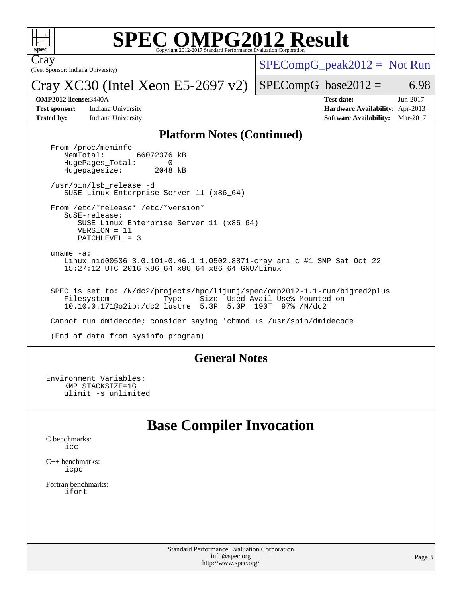

## **[SPEC OMPG2012 Result](http://www.spec.org/auto/omp2012/Docs/result-fields.html#SPECOMPG2012Result)**

(Test Sponsor: Indiana University) Cray

 $SPECompG_peak2012 = Not Run$  $SPECompG_peak2012 = Not Run$ 

Cray XC30 (Intel Xeon E5-2697 v2)

 $SPECompG_base2012 = 6.98$  $SPECompG_base2012 = 6.98$ 

**[Test sponsor:](http://www.spec.org/auto/omp2012/Docs/result-fields.html#Testsponsor)** Indiana University **[Hardware Availability:](http://www.spec.org/auto/omp2012/Docs/result-fields.html#HardwareAvailability)** Apr-2013

**[OMP2012 license:](http://www.spec.org/auto/omp2012/Docs/result-fields.html#OMP2012license)**3440A **[Test date:](http://www.spec.org/auto/omp2012/Docs/result-fields.html#Testdate)** Jun-2017 **[Tested by:](http://www.spec.org/auto/omp2012/Docs/result-fields.html#Testedby)** Indiana University **[Software Availability:](http://www.spec.org/auto/omp2012/Docs/result-fields.html#SoftwareAvailability)** Mar-2017

#### **[Platform Notes \(Continued\)](http://www.spec.org/auto/omp2012/Docs/result-fields.html#PlatformNotes)**

From /proc/meminfo<br>MemTotal: 66072376 kB HugePages\_Total: 0<br>Hugepagesize: 2048 kB Hugepagesize: /usr/bin/lsb\_release -d SUSE Linux Enterprise Server 11 (x86\_64) From /etc/\*release\* /etc/\*version\* SuSE-release: SUSE Linux Enterprise Server 11 (x86\_64) VERSION = 11 PATCHLEVEL = 3 uname -a: Linux nid00536 3.0.101-0.46.1\_1.0502.8871-cray\_ari\_c #1 SMP Sat Oct 22 15:27:12 UTC 2016 x86\_64 x86\_64 x86\_64 GNU/Linux SPEC is set to: /N/dc2/projects/hpc/lijunj/spec/omp2012-1.1-run/bigred2plus Filesystem Type Size Used Avail Use% Mounted on<br>10.10.0.171@o2ib:/dc2 lustre 5.3P 5.0P 190T 97% /N/dc2 10.10.0.171@o2ib:/dc2 lustre 5.3P Cannot run dmidecode; consider saying 'chmod +s /usr/sbin/dmidecode' (End of data from sysinfo program)

### **[General Notes](http://www.spec.org/auto/omp2012/Docs/result-fields.html#GeneralNotes)**

Environment Variables: KMP\_STACKSIZE=1G ulimit -s unlimited

## **[Base Compiler Invocation](http://www.spec.org/auto/omp2012/Docs/result-fields.html#BaseCompilerInvocation)**

[C benchmarks](http://www.spec.org/auto/omp2012/Docs/result-fields.html#Cbenchmarks): [icc](http://www.spec.org/omp2012/results/res2017q3/omp2012-20170728-00114.flags.html#user_CCbase_intel_icc_a87c68a857bc5ec5362391a49d3a37a6)

[C++ benchmarks:](http://www.spec.org/auto/omp2012/Docs/result-fields.html#CXXbenchmarks) [icpc](http://www.spec.org/omp2012/results/res2017q3/omp2012-20170728-00114.flags.html#user_CXXbase_intel_icpc_2d899f8d163502b12eb4a60069f80c1c)

[Fortran benchmarks](http://www.spec.org/auto/omp2012/Docs/result-fields.html#Fortranbenchmarks): [ifort](http://www.spec.org/omp2012/results/res2017q3/omp2012-20170728-00114.flags.html#user_FCbase_intel_ifort_8a5e5e06b19a251bdeaf8fdab5d62f20)